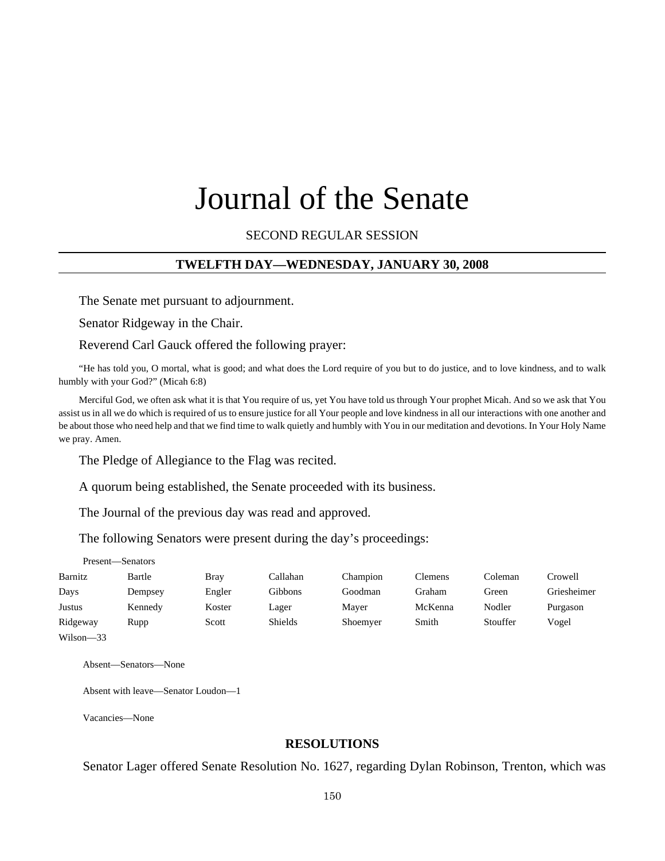# Journal of the Senate

SECOND REGULAR SESSION

#### **TWELFTH DAY—WEDNESDAY, JANUARY 30, 2008**

The Senate met pursuant to adjournment.

Senator Ridgeway in the Chair.

Reverend Carl Gauck offered the following prayer:

"He has told you, O mortal, what is good; and what does the Lord require of you but to do justice, and to love kindness, and to walk humbly with your God?" (Micah 6:8)

Merciful God, we often ask what it is that You require of us, yet You have told us through Your prophet Micah. And so we ask that You assist us in all we do which is required of us to ensure justice for all Your people and love kindness in all our interactions with one another and be about those who need help and that we find time to walk quietly and humbly with You in our meditation and devotions. In Your Holy Name we pray. Amen.

The Pledge of Allegiance to the Flag was recited.

A quorum being established, the Senate proceeded with its business.

The Journal of the previous day was read and approved.

The following Senators were present during the day's proceedings:

|           | Present-Senators |        |                |          |         |          |             |
|-----------|------------------|--------|----------------|----------|---------|----------|-------------|
| Barnitz   | Bartle           | Bray   | Callahan       | Champion | Clemens | Coleman  | Crowell     |
| Days      | Dempsey          | Engler | Gibbons        | Goodman  | Graham  | Green    | Griesheimer |
| Justus    | Kennedy          | Koster | Lager          | Mayer    | McKenna | Nodler   | Purgason    |
| Ridgeway  | Rupp             | Scott  | <b>Shields</b> | Shoemyer | Smith   | Stouffer | Vogel       |
| Wilson-33 |                  |        |                |          |         |          |             |

Absent—Senators—None

Absent with leave—Senator Loudon—1

Vacancies—None

#### **RESOLUTIONS**

Senator Lager offered Senate Resolution No. 1627, regarding Dylan Robinson, Trenton, which was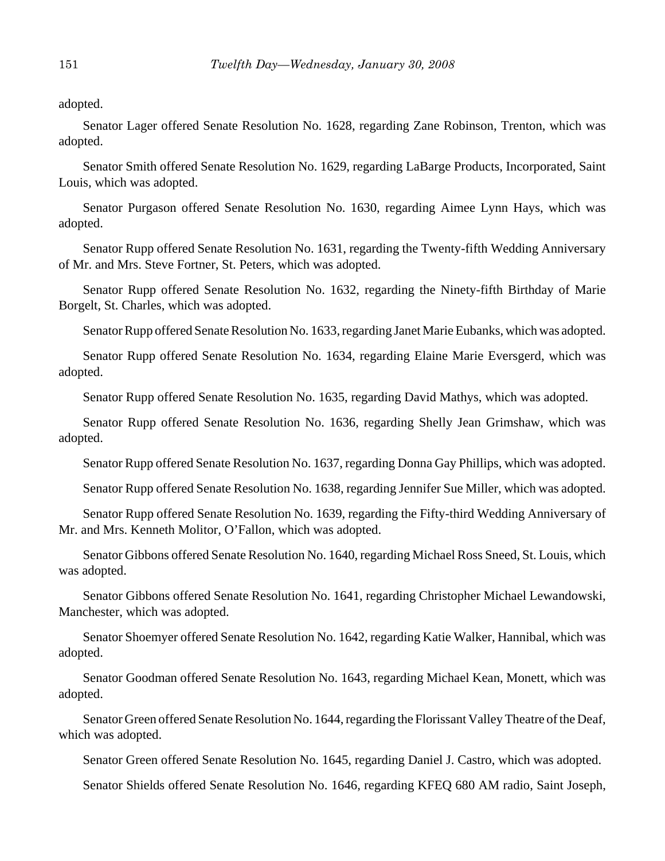adopted.

Senator Lager offered Senate Resolution No. 1628, regarding Zane Robinson, Trenton, which was adopted.

Senator Smith offered Senate Resolution No. 1629, regarding LaBarge Products, Incorporated, Saint Louis, which was adopted.

Senator Purgason offered Senate Resolution No. 1630, regarding Aimee Lynn Hays, which was adopted.

Senator Rupp offered Senate Resolution No. 1631, regarding the Twenty-fifth Wedding Anniversary of Mr. and Mrs. Steve Fortner, St. Peters, which was adopted.

Senator Rupp offered Senate Resolution No. 1632, regarding the Ninety-fifth Birthday of Marie Borgelt, St. Charles, which was adopted.

Senator Rupp offered Senate Resolution No. 1633, regarding Janet Marie Eubanks, which was adopted.

Senator Rupp offered Senate Resolution No. 1634, regarding Elaine Marie Eversgerd, which was adopted.

Senator Rupp offered Senate Resolution No. 1635, regarding David Mathys, which was adopted.

Senator Rupp offered Senate Resolution No. 1636, regarding Shelly Jean Grimshaw, which was adopted.

Senator Rupp offered Senate Resolution No. 1637, regarding Donna Gay Phillips, which was adopted.

Senator Rupp offered Senate Resolution No. 1638, regarding Jennifer Sue Miller, which was adopted.

Senator Rupp offered Senate Resolution No. 1639, regarding the Fifty-third Wedding Anniversary of Mr. and Mrs. Kenneth Molitor, O'Fallon, which was adopted.

Senator Gibbons offered Senate Resolution No. 1640, regarding Michael Ross Sneed, St. Louis, which was adopted.

Senator Gibbons offered Senate Resolution No. 1641, regarding Christopher Michael Lewandowski, Manchester, which was adopted.

Senator Shoemyer offered Senate Resolution No. 1642, regarding Katie Walker, Hannibal, which was adopted.

Senator Goodman offered Senate Resolution No. 1643, regarding Michael Kean, Monett, which was adopted.

Senator Green offered Senate Resolution No. 1644, regarding the Florissant Valley Theatre of the Deaf, which was adopted.

Senator Green offered Senate Resolution No. 1645, regarding Daniel J. Castro, which was adopted.

Senator Shields offered Senate Resolution No. 1646, regarding KFEQ 680 AM radio, Saint Joseph,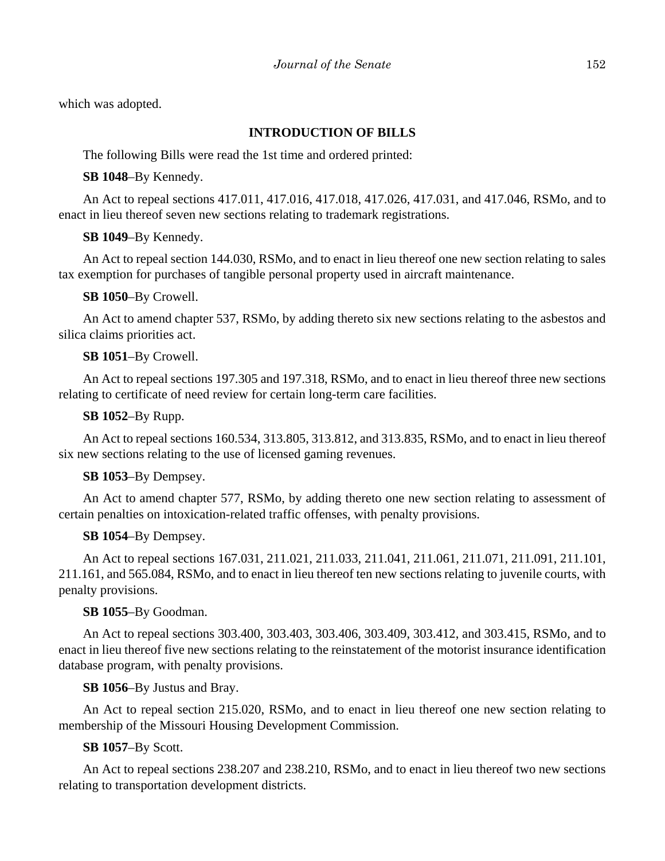which was adopted.

# **INTRODUCTION OF BILLS**

The following Bills were read the 1st time and ordered printed:

**SB 1048**–By Kennedy.

An Act to repeal sections 417.011, 417.016, 417.018, 417.026, 417.031, and 417.046, RSMo, and to enact in lieu thereof seven new sections relating to trademark registrations.

## **SB 1049**–By Kennedy.

An Act to repeal section 144.030, RSMo, and to enact in lieu thereof one new section relating to sales tax exemption for purchases of tangible personal property used in aircraft maintenance.

## **SB 1050**–By Crowell.

An Act to amend chapter 537, RSMo, by adding thereto six new sections relating to the asbestos and silica claims priorities act.

## **SB 1051**–By Crowell.

An Act to repeal sections 197.305 and 197.318, RSMo, and to enact in lieu thereof three new sections relating to certificate of need review for certain long-term care facilities.

## **SB 1052**–By Rupp.

An Act to repeal sections 160.534, 313.805, 313.812, and 313.835, RSMo, and to enact in lieu thereof six new sections relating to the use of licensed gaming revenues.

#### **SB 1053**–By Dempsey.

An Act to amend chapter 577, RSMo, by adding thereto one new section relating to assessment of certain penalties on intoxication-related traffic offenses, with penalty provisions.

#### **SB 1054**–By Dempsey.

An Act to repeal sections 167.031, 211.021, 211.033, 211.041, 211.061, 211.071, 211.091, 211.101, 211.161, and 565.084, RSMo, and to enact in lieu thereof ten new sections relating to juvenile courts, with penalty provisions.

#### **SB 1055**–By Goodman.

An Act to repeal sections 303.400, 303.403, 303.406, 303.409, 303.412, and 303.415, RSMo, and to enact in lieu thereof five new sections relating to the reinstatement of the motorist insurance identification database program, with penalty provisions.

**SB 1056**–By Justus and Bray.

An Act to repeal section 215.020, RSMo, and to enact in lieu thereof one new section relating to membership of the Missouri Housing Development Commission.

## **SB 1057**–By Scott.

An Act to repeal sections 238.207 and 238.210, RSMo, and to enact in lieu thereof two new sections relating to transportation development districts.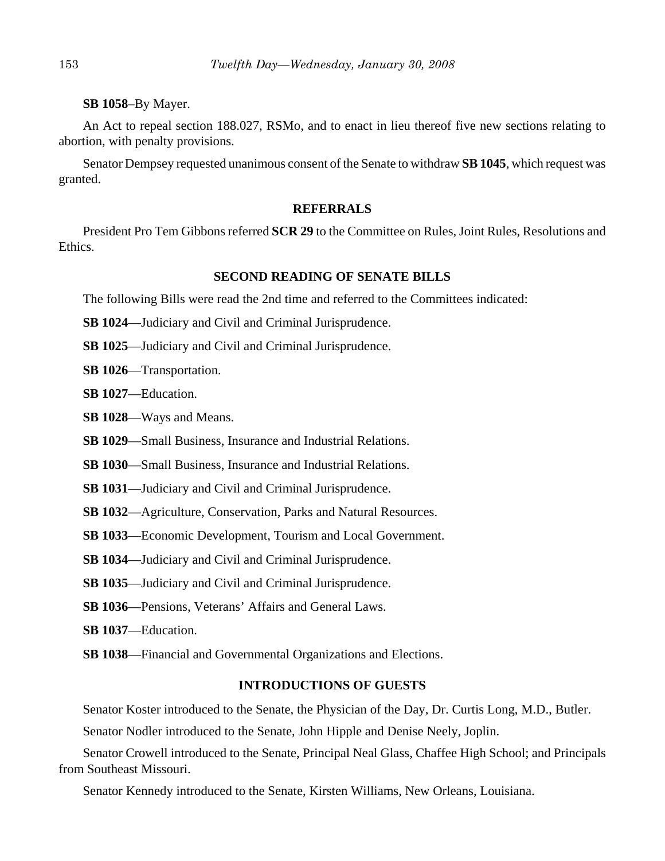#### **SB 1058**–By Mayer.

An Act to repeal section 188.027, RSMo, and to enact in lieu thereof five new sections relating to abortion, with penalty provisions.

Senator Dempsey requested unanimous consent of the Senate to withdraw **SB 1045**, which request was granted.

#### **REFERRALS**

President Pro Tem Gibbons referred **SCR 29** to the Committee on Rules, Joint Rules, Resolutions and Ethics.

## **SECOND READING OF SENATE BILLS**

The following Bills were read the 2nd time and referred to the Committees indicated:

**SB 1024**—Judiciary and Civil and Criminal Jurisprudence.

**SB 1025**—Judiciary and Civil and Criminal Jurisprudence.

**SB 1026**—Transportation.

**SB 1027**—Education.

**SB 1028**—Ways and Means.

**SB 1029**—Small Business, Insurance and Industrial Relations.

**SB 1030**—Small Business, Insurance and Industrial Relations.

**SB 1031**—Judiciary and Civil and Criminal Jurisprudence.

**SB 1032**—Agriculture, Conservation, Parks and Natural Resources.

**SB 1033**—Economic Development, Tourism and Local Government.

**SB 1034**—Judiciary and Civil and Criminal Jurisprudence.

**SB 1035**—Judiciary and Civil and Criminal Jurisprudence.

**SB 1036**—Pensions, Veterans' Affairs and General Laws.

**SB 1037**—Education.

**SB 1038**—Financial and Governmental Organizations and Elections.

#### **INTRODUCTIONS OF GUESTS**

Senator Koster introduced to the Senate, the Physician of the Day, Dr. Curtis Long, M.D., Butler.

Senator Nodler introduced to the Senate, John Hipple and Denise Neely, Joplin.

Senator Crowell introduced to the Senate, Principal Neal Glass, Chaffee High School; and Principals from Southeast Missouri.

Senator Kennedy introduced to the Senate, Kirsten Williams, New Orleans, Louisiana.